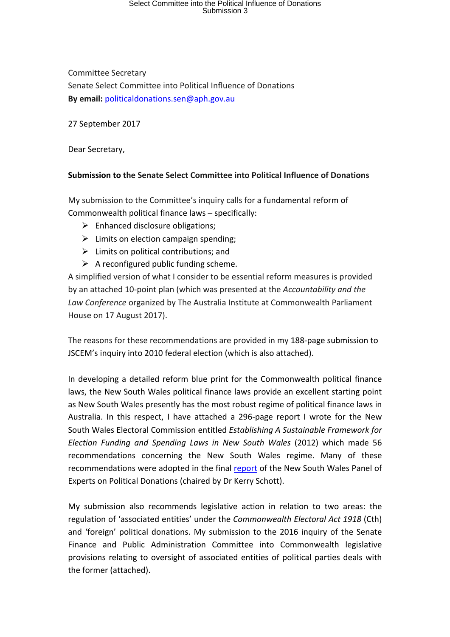## Select Committee into the Political Influence of Donations Submission 3

Committee Secretary Senate Select Committee into Political Influence of Donations **By email:** politicaldonations.sen@aph.gov.au

27 September 2017

Dear Secretary,

## **Submission to the Senate Select Committee into Political Influence of Donations**

My submission to the Committee's inquiry calls for a fundamental reform of Commonwealth political finance laws - specifically:

- $\triangleright$  Enhanced disclosure obligations;
- $\triangleright$  Limits on election campaign spending;
- $\triangleright$  Limits on political contributions; and
- $\triangleright$  A reconfigured public funding scheme.

A simplified version of what I consider to be essential reform measures is provided by an attached 10-point plan (which was presented at the *Accountability and the* Law Conference organized by The Australia Institute at Commonwealth Parliament House on 17 August 2017).

The reasons for these recommendations are provided in my 188-page submission to JSCEM's inquiry into 2010 federal election (which is also attached).

In developing a detailed reform blue print for the Commonwealth political finance laws, the New South Wales political finance laws provide an excellent starting point as New South Wales presently has the most robust regime of political finance laws in Australia. In this respect, I have attached a 296-page report I wrote for the New South Wales Electoral Commission entitled *Establishing A Sustainable Framework for Election Funding and Spending Laws in New South Wales*  (2012) which made 56 recommendations concerning the New South Wales regime. Many of these recommendations were adopted in the final report of the New South Wales Panel of Experts on Political Donations (chaired by Dr Kerry Schott).

My submission also recommends legislative action in relation to two areas: the regulation of 'associated entities' under the *Commonwealth Electoral Act 1918* (Cth) and 'foreign' political donations. My submission to the 2016 inquiry of the Senate Finance and Public Administration Committee into Commonwealth legislative provisions relating to oversight of associated entities of political parties deals with the former (attached).